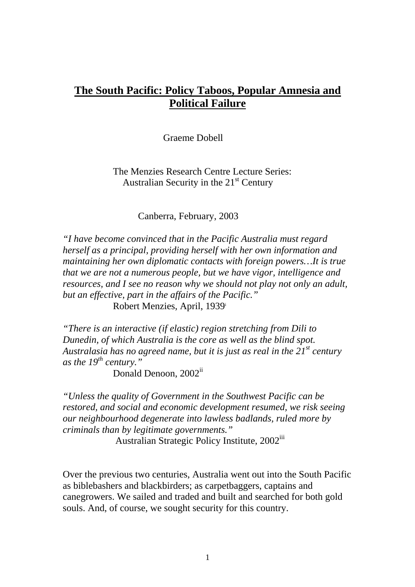# **The South Pacific: Policy Taboos, Popular Amnesia and Political Failure**

Graeme Dobell

The Menzies Research Centre Lecture Series: Australian Security in the  $21<sup>st</sup>$  Century

Canberra, February, 2003

*"I have become convinced that in the Pacific Australia must regard herself as a principal, providing herself with her own information and maintaining her own diplomatic contacts with foreign powers…It is true that we are not a numerous people, but we have vigor, intelligence and resources, and I see no reason why we should not play not only an adult, but an effective, part in the affairs of the Pacific."*  Robert Menzies, April, 1939[i](#page-21-0)

*"There is an interactive (if elastic) region stretching from Dili to Dunedin, of which Australia is the core as well as the blind spot. Australasia has no agreed name, but it is just as real in the 21st century as the 19th century."* 

Donald Denoon, 2002<sup>[ii](#page-21-1)</sup>

*"Unless the quality of Government in the Southwest Pacific can be restored, and social and economic development resumed, we risk seeing our neighbourhood degenerate into lawless badlands, ruled more by criminals than by legitimate governments."* 

Australian Strategic Policy Institute, 2002<sup>[iii](#page-21-2)</sup>

Over the previous two centuries, Australia went out into the South Pacific as biblebashers and blackbirders; as carpetbaggers, captains and canegrowers. We sailed and traded and built and searched for both gold souls. And, of course, we sought security for this country.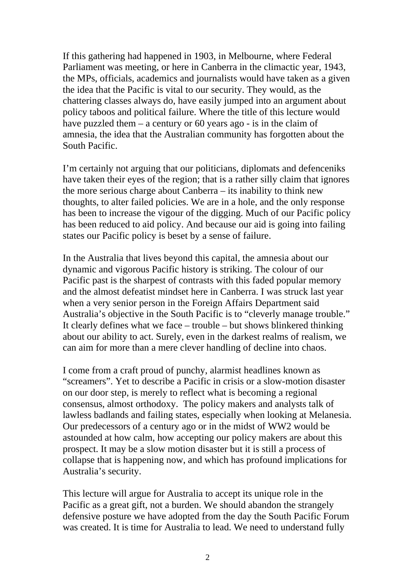If this gathering had happened in 1903, in Melbourne, where Federal Parliament was meeting, or here in Canberra in the climactic year, 1943, the MPs, officials, academics and journalists would have taken as a given the idea that the Pacific is vital to our security. They would, as the chattering classes always do, have easily jumped into an argument about policy taboos and political failure. Where the title of this lecture would have puzzled them – a century or 60 years ago - is in the claim of amnesia, the idea that the Australian community has forgotten about the South Pacific.

I'm certainly not arguing that our politicians, diplomats and defenceniks have taken their eyes of the region; that is a rather silly claim that ignores the more serious charge about Canberra – its inability to think new thoughts, to alter failed policies. We are in a hole, and the only response has been to increase the vigour of the digging. Much of our Pacific policy has been reduced to aid policy. And because our aid is going into failing states our Pacific policy is beset by a sense of failure.

In the Australia that lives beyond this capital, the amnesia about our dynamic and vigorous Pacific history is striking. The colour of our Pacific past is the sharpest of contrasts with this faded popular memory and the almost defeatist mindset here in Canberra. I was struck last year when a very senior person in the Foreign Affairs Department said Australia's objective in the South Pacific is to "cleverly manage trouble." It clearly defines what we face – trouble – but shows blinkered thinking about our ability to act. Surely, even in the darkest realms of realism, we can aim for more than a mere clever handling of decline into chaos.

I come from a craft proud of punchy, alarmist headlines known as "screamers". Yet to describe a Pacific in crisis or a slow-motion disaster on our door step, is merely to reflect what is becoming a regional consensus, almost orthodoxy. The policy makers and analysts talk of lawless badlands and failing states, especially when looking at Melanesia. Our predecessors of a century ago or in the midst of WW2 would be astounded at how calm, how accepting our policy makers are about this prospect. It may be a slow motion disaster but it is still a process of collapse that is happening now, and which has profound implications for Australia's security.

This lecture will argue for Australia to accept its unique role in the Pacific as a great gift, not a burden. We should abandon the strangely defensive posture we have adopted from the day the South Pacific Forum was created. It is time for Australia to lead. We need to understand fully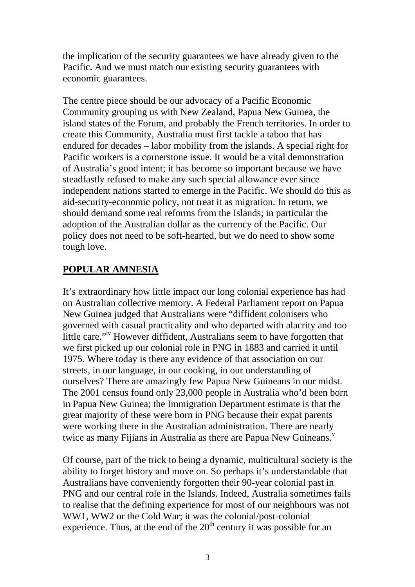the implication of the security guarantees we have already given to the Pacific. And we must match our existing security guarantees with economic guarantees.

The centre piece should be our advocacy of a Pacific Economic Community grouping us with New Zealand, Papua New Guinea, the island states of the Forum, and probably the French territories. In order to create this Community, Australia must first tackle a taboo that has endured for decades – labor mobility from the islands. A special right for Pacific workers is a cornerstone issue. It would be a vital demonstration of Australia's good intent; it has become so important because we have steadfastly refused to make any such special allowance ever since independent nations started to emerge in the Pacific. We should do this as aid-security-economic policy, not treat it as migration. In return, we should demand some real reforms from the Islands; in particular the adoption of the Australian dollar as the currency of the Pacific. Our policy does not need to be soft-hearted, but we do need to show some tough love.

### **POPULAR AMNESIA**

It's extraordinary how little impact our long colonial experience has had on Australian collective memory. A Federal Parliament report on Papua New Guinea judged that Australians were "diffident colonisers who governed with casual practicality and who departed with alacrity and too little care."[iv](#page-21-3) However diffident, Australians seem to have forgotten that we first picked up our colonial role in PNG in 1883 and carried it until 1975. Where today is there any evidence of that association on our streets, in our language, in our cooking, in our understanding of ourselves? There are amazingly few Papua New Guineans in our midst. The 2001 census found only 23,000 people in Australia who'd been born in Papua New Guinea; the Immigration Department estimate is that the great majority of these were born in PNG because their expat parents were working there in the Australian administration. There are nearly twice as many Fijians in Australia as there are Papua New Guineans. $\overline{y}$  $\overline{y}$  $\overline{y}$ 

Of course, part of the trick to being a dynamic, multicultural society is the ability to forget history and move on. So perhaps it's understandable that Australians have conveniently forgotten their 90-year colonial past in PNG and our central role in the Islands. Indeed, Australia sometimes fails to realise that the defining experience for most of our neighbours was not WW1, WW2 or the Cold War; it was the colonial/post-colonial experience. Thus, at the end of the  $20<sup>th</sup>$  century it was possible for an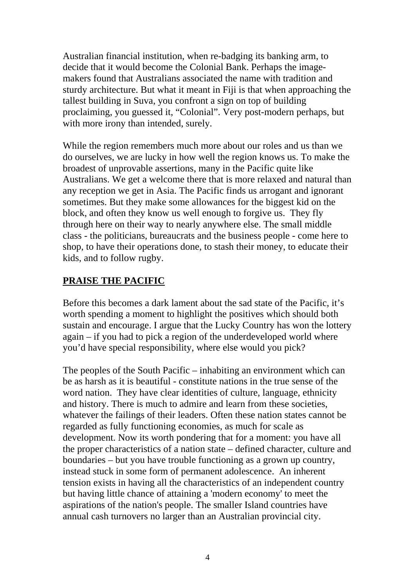Australian financial institution, when re-badging its banking arm, to decide that it would become the Colonial Bank. Perhaps the imagemakers found that Australians associated the name with tradition and sturdy architecture. But what it meant in Fiji is that when approaching the tallest building in Suva, you confront a sign on top of building proclaiming, you guessed it, "Colonial". Very post-modern perhaps, but with more irony than intended, surely.

While the region remembers much more about our roles and us than we do ourselves, we are lucky in how well the region knows us. To make the broadest of unprovable assertions, many in the Pacific quite like Australians. We get a welcome there that is more relaxed and natural than any reception we get in Asia. The Pacific finds us arrogant and ignorant sometimes. But they make some allowances for the biggest kid on the block, and often they know us well enough to forgive us. They fly through here on their way to nearly anywhere else. The small middle class - the politicians, bureaucrats and the business people - come here to shop, to have their operations done, to stash their money, to educate their kids, and to follow rugby.

## **PRAISE THE PACIFIC**

Before this becomes a dark lament about the sad state of the Pacific, it's worth spending a moment to highlight the positives which should both sustain and encourage. I argue that the Lucky Country has won the lottery again – if you had to pick a region of the underdeveloped world where you'd have special responsibility, where else would you pick?

The peoples of the South Pacific – inhabiting an environment which can be as harsh as it is beautiful - constitute nations in the true sense of the word nation. They have clear identities of culture, language, ethnicity and history. There is much to admire and learn from these societies, whatever the failings of their leaders. Often these nation states cannot be regarded as fully functioning economies, as much for scale as development. Now its worth pondering that for a moment: you have all the proper characteristics of a nation state – defined character, culture and boundaries – but you have trouble functioning as a grown up country, instead stuck in some form of permanent adolescence. An inherent tension exists in having all the characteristics of an independent country but having little chance of attaining a 'modern economy' to meet the aspirations of the nation's people. The smaller Island countries have annual cash turnovers no larger than an Australian provincial city.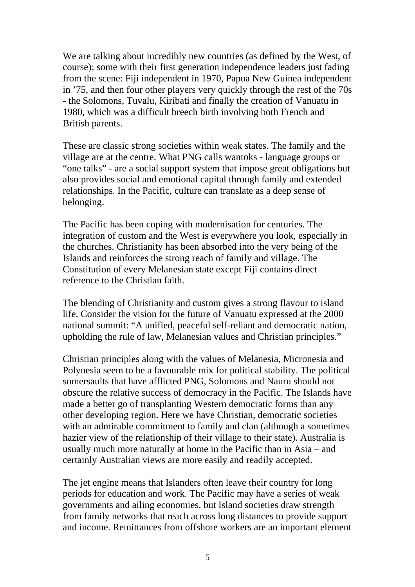We are talking about incredibly new countries (as defined by the West, of course); some with their first generation independence leaders just fading from the scene: Fiji independent in 1970, Papua New Guinea independent in '75, and then four other players very quickly through the rest of the 70s - the Solomons, Tuvalu, Kiribati and finally the creation of Vanuatu in 1980, which was a difficult breech birth involving both French and British parents.

These are classic strong societies within weak states. The family and the village are at the centre. What PNG calls wantoks - language groups or "one talks" - are a social support system that impose great obligations but also provides social and emotional capital through family and extended relationships. In the Pacific, culture can translate as a deep sense of belonging.

The Pacific has been coping with modernisation for centuries. The integration of custom and the West is everywhere you look, especially in the churches. Christianity has been absorbed into the very being of the Islands and reinforces the strong reach of family and village. The Constitution of every Melanesian state except Fiji contains direct reference to the Christian faith.

The blending of Christianity and custom gives a strong flavour to island life. Consider the vision for the future of Vanuatu expressed at the 2000 national summit: "A unified, peaceful self-reliant and democratic nation, upholding the rule of law, Melanesian values and Christian principles."

Christian principles along with the values of Melanesia, Micronesia and Polynesia seem to be a favourable mix for political stability. The political somersaults that have afflicted PNG, Solomons and Nauru should not obscure the relative success of democracy in the Pacific. The Islands have made a better go of transplanting Western democratic forms than any other developing region. Here we have Christian, democratic societies with an admirable commitment to family and clan (although a sometimes) hazier view of the relationship of their village to their state). Australia is usually much more naturally at home in the Pacific than in Asia – and certainly Australian views are more easily and readily accepted.

The jet engine means that Islanders often leave their country for long periods for education and work. The Pacific may have a series of weak governments and ailing economies, but Island societies draw strength from family networks that reach across long distances to provide support and income. Remittances from offshore workers are an important element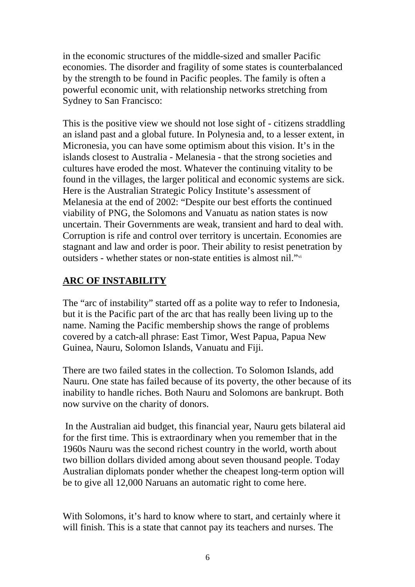in the economic structures of the middle-sized and smaller Pacific economies. The disorder and fragility of some states is counterbalanced by the strength to be found in Pacific peoples. The family is often a powerful economic unit, with relationship networks stretching from Sydney to San Francisco:

This is the positive view we should not lose sight of - citizens straddling an island past and a global future. In Polynesia and, to a lesser extent, in Micronesia, you can have some optimism about this vision. It's in the islands closest to Australia - Melanesia - that the strong societies and cultures have eroded the most. Whatever the continuing vitality to be found in the villages, the larger political and economic systems are sick. Here is the Australian Strategic Policy Institute's assessment of Melanesia at the end of 2002: "Despite our best efforts the continued viability of PNG, the Solomons and Vanuatu as nation states is now uncertain. Their Governments are weak, transient and hard to deal with. Corruption is rife and control over territory is uncertain. Economies are stagnant and law and order is poor. Their ability to resist penetration by outsiders - whether states or non-state entities is almost nil."[vi](#page-21-5)

# **ARC OF INSTABILITY**

The "arc of instability" started off as a polite way to refer to Indonesia, but it is the Pacific part of the arc that has really been living up to the name. Naming the Pacific membership shows the range of problems covered by a catch-all phrase: East Timor, West Papua, Papua New Guinea, Nauru, Solomon Islands, Vanuatu and Fiji.

There are two failed states in the collection. To Solomon Islands, add Nauru. One state has failed because of its poverty, the other because of its inability to handle riches. Both Nauru and Solomons are bankrupt. Both now survive on the charity of donors.

 In the Australian aid budget, this financial year, Nauru gets bilateral aid for the first time. This is extraordinary when you remember that in the 1960s Nauru was the second richest country in the world, worth about two billion dollars divided among about seven thousand people. Today Australian diplomats ponder whether the cheapest long-term option will be to give all 12,000 Naruans an automatic right to come here.

With Solomons, it's hard to know where to start, and certainly where it will finish. This is a state that cannot pay its teachers and nurses. The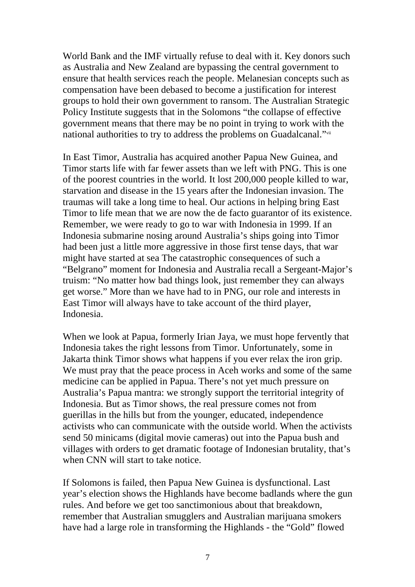World Bank and the IMF virtually refuse to deal with it. Key donors such as Australia and New Zealand are bypassing the central government to ensure that health services reach the people. Melanesian concepts such as compensation have been debased to become a justification for interest groups to hold their own government to ransom. The Australian Strategic Policy Institute suggests that in the Solomons "the collapse of effective government means that there may be no point in trying to work with the national authorities to try to address the problems on Guadalcanal."[vii](#page-21-6)

In East Timor, Australia has acquired another Papua New Guinea, and Timor starts life with far fewer assets than we left with PNG. This is one of the poorest countries in the world. It lost 200,000 people killed to war, starvation and disease in the 15 years after the Indonesian invasion. The traumas will take a long time to heal. Our actions in helping bring East Timor to life mean that we are now the de facto guarantor of its existence. Remember, we were ready to go to war with Indonesia in 1999. If an Indonesia submarine nosing around Australia's ships going into Timor had been just a little more aggressive in those first tense days, that war might have started at sea The catastrophic consequences of such a "Belgrano" moment for Indonesia and Australia recall a Sergeant-Major's truism: "No matter how bad things look, just remember they can always get worse." More than we have had to in PNG, our role and interests in East Timor will always have to take account of the third player, Indonesia.

When we look at Papua, formerly Irian Jaya, we must hope fervently that Indonesia takes the right lessons from Timor. Unfortunately, some in Jakarta think Timor shows what happens if you ever relax the iron grip. We must pray that the peace process in Aceh works and some of the same medicine can be applied in Papua. There's not yet much pressure on Australia's Papua mantra: we strongly support the territorial integrity of Indonesia. But as Timor shows, the real pressure comes not from guerillas in the hills but from the younger, educated, independence activists who can communicate with the outside world. When the activists send 50 minicams (digital movie cameras) out into the Papua bush and villages with orders to get dramatic footage of Indonesian brutality, that's when CNN will start to take notice.

If Solomons is failed, then Papua New Guinea is dysfunctional. Last year's election shows the Highlands have become badlands where the gun rules. And before we get too sanctimonious about that breakdown, remember that Australian smugglers and Australian marijuana smokers have had a large role in transforming the Highlands - the "Gold" flowed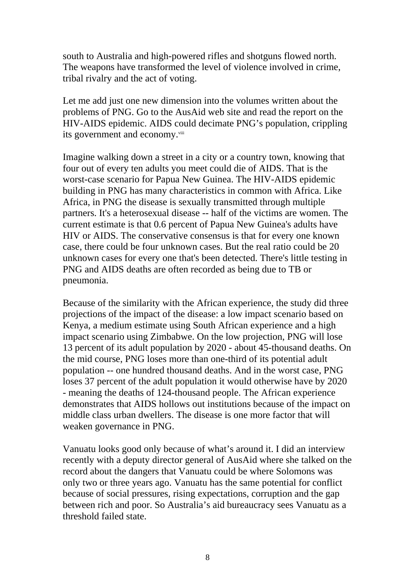south to Australia and high-powered rifles and shotguns flowed north. The weapons have transformed the level of violence involved in crime, tribal rivalry and the act of voting.

Let me add just one new dimension into the volumes written about the problems of PNG. Go to the AusAid web site and read the report on the HIV-AIDS epidemic. AIDS could decimate PNG's population, crippling its government and economy.<sup>[viii](#page-21-6)</sup>

Imagine walking down a street in a city or a country town, knowing that four out of every ten adults you meet could die of AIDS. That is the worst-case scenario for Papua New Guinea. The HIV-AIDS epidemic building in PNG has many characteristics in common with Africa. Like Africa, in PNG the disease is sexually transmitted through multiple partners. It's a heterosexual disease -- half of the victims are women. The current estimate is that 0.6 percent of Papua New Guinea's adults have HIV or AIDS. The conservative consensus is that for every one known case, there could be four unknown cases. But the real ratio could be 20 unknown cases for every one that's been detected. There's little testing in PNG and AIDS deaths are often recorded as being due to TB or pneumonia.

Because of the similarity with the African experience, the study did three projections of the impact of the disease: a low impact scenario based on Kenya, a medium estimate using South African experience and a high impact scenario using Zimbabwe. On the low projection, PNG will lose 13 percent of its adult population by 2020 - about 45-thousand deaths. On the mid course, PNG loses more than one-third of its potential adult population -- one hundred thousand deaths. And in the worst case, PNG loses 37 percent of the adult population it would otherwise have by 2020 - meaning the deaths of 124-thousand people. The African experience demonstrates that AIDS hollows out institutions because of the impact on middle class urban dwellers. The disease is one more factor that will weaken governance in PNG.

Vanuatu looks good only because of what's around it. I did an interview recently with a deputy director general of AusAid where she talked on the record about the dangers that Vanuatu could be where Solomons was only two or three years ago. Vanuatu has the same potential for conflict because of social pressures, rising expectations, corruption and the gap between rich and poor. So Australia's aid bureaucracy sees Vanuatu as a threshold failed state.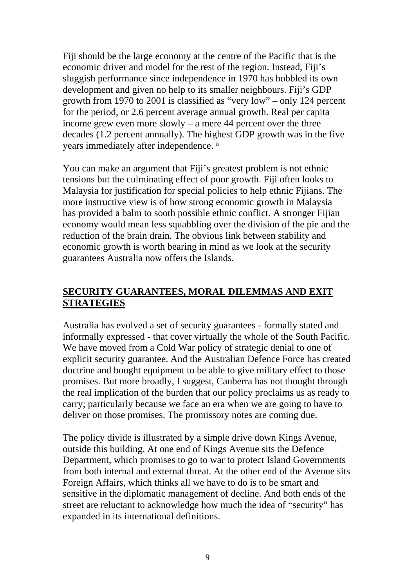Fiji should be the large economy at the centre of the Pacific that is the economic driver and model for the rest of the region. Instead, Fiji's sluggish performance since independence in 1970 has hobbled its own development and given no help to its smaller neighbours. Fiji's GDP growth from 1970 to 2001 is classified as "very low" – only 124 percent for the period, or 2.6 percent average annual growth. Real per capita income grew even more slowly – a mere 44 percent over the three decades (1.2 percent annually). The highest GDP growth was in the five years immediately after independence. ix

You can make an argument that Fiji's greatest problem is not ethnic tensions but the culminating effect of poor growth. Fiji often looks to Malaysia for justification for special policies to help ethnic Fijians. The more instructive view is of how strong economic growth in Malaysia has provided a balm to sooth possible ethnic conflict. A stronger Fijian economy would mean less squabbling over the division of the pie and the reduction of the brain drain. The obvious link between stability and economic growth is worth bearing in mind as we look at the security guarantees Australia now offers the Islands.

#### **SECURITY GUARANTEES, MORAL DILEMMAS AND EXIT STRATEGIES**

Australia has evolved a set of security guarantees - formally stated and informally expressed - that cover virtually the whole of the South Pacific. We have moved from a Cold War policy of strategic denial to one of explicit security guarantee. And the Australian Defence Force has created doctrine and bought equipment to be able to give military effect to those promises. But more broadly, I suggest, Canberra has not thought through the real implication of the burden that our policy proclaims us as ready to carry; particularly because we face an era when we are going to have to deliver on those promises. The promissory notes are coming due.

The policy divide is illustrated by a simple drive down Kings Avenue, outside this building. At one end of Kings Avenue sits the Defence Department, which promises to go to war to protect Island Governments from both internal and external threat. At the other end of the Avenue sits Foreign Affairs, which thinks all we have to do is to be smart and sensitive in the diplomatic management of decline. And both ends of the street are reluctant to acknowledge how much the idea of "security" has expanded in its international definitions.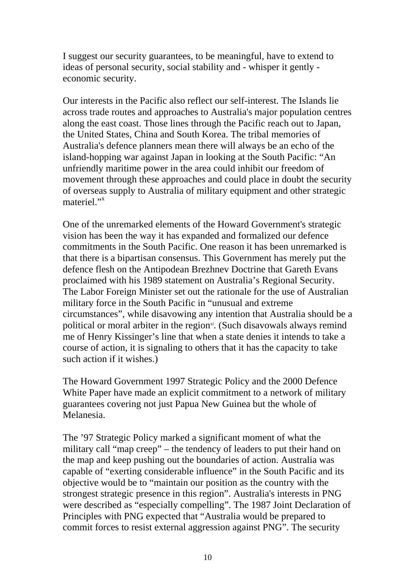I suggest our security guarantees, to be meaningful, have to extend to ideas of personal security, social stability and - whisper it gently economic security.

Our interests in the Pacific also reflect our self-interest. The Islands lie across trade routes and approaches to Australia's major population centres along the east coast. Those lines through the Pacific reach out to Japan, the United States, China and South Korea. The tribal memories of Australia's defence planners mean there will always be an echo of the island-hopping war against Japan in looking at the South Pacific: "An unfriendly maritime power in the area could inhibit our freedom of movement through these approaches and could place in doubt the security of overseas supply to Australia of military equipment and other strategic materiel."<sup>[x](#page-21-7)</sup>

One of the unremarked elements of the Howard Government's strategic vision has been the way it has expanded and formalized our defence commitments in the South Pacific. One reason it has been unremarked is that there is a bipartisan consensus. This Government has merely put the defence flesh on the Antipodean Brezhnev Doctrine that Gareth Evans proclaimed with his 1989 statement on Australia's Regional Security. The Labor Foreign Minister set out the rationale for the use of Australian military force in the South Pacific in "unusual and extreme circumstances", while disavowing any intention that Australia should be a political or moral arbiter in the region $x$ <sup>i</sup>. (Such disavowals always remind me of Henry Kissinger's line that when a state denies it intends to take a course of action, it is signaling to others that it has the capacity to take such action if it wishes.)

The Howard Government 1997 Strategic Policy and the 2000 Defence White Paper have made an explicit commitment to a network of military guarantees covering not just Papua New Guinea but the whole of Melanesia.

The '97 Strategic Policy marked a significant moment of what the military call "map creep" – the tendency of leaders to put their hand on the map and keep pushing out the boundaries of action. Australia was capable of "exerting considerable influence" in the South Pacific and its objective would be to "maintain our position as the country with the strongest strategic presence in this region". Australia's interests in PNG were described as "especially compelling". The 1987 Joint Declaration of Principles with PNG expected that "Australia would be prepared to commit forces to resist external aggression against PNG". The security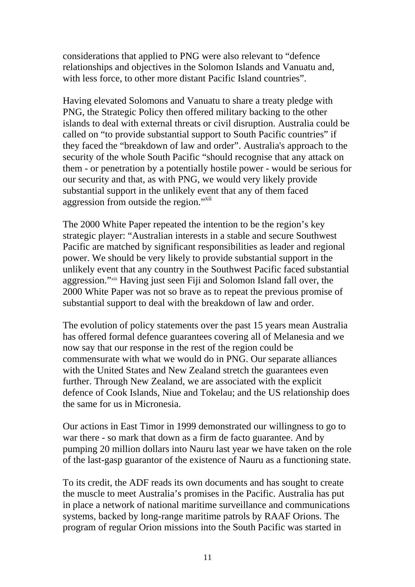considerations that applied to PNG were also relevant to "defence relationships and objectives in the Solomon Islands and Vanuatu and, with less force, to other more distant Pacific Island countries".

Having elevated Solomons and Vanuatu to share a treaty pledge with PNG, the Strategic Policy then offered military backing to the other islands to deal with external threats or civil disruption. Australia could be called on "to provide substantial support to South Pacific countries" if they faced the "breakdown of law and order". Australia's approach to the security of the whole South Pacific "should recognise that any attack on them - or penetration by a potentially hostile power - would be serious for our security and that, as with PNG, we would very likely provide substantial support in the unlikely event that any of them faced aggression from outside the region."<sup>[xii](#page-21-9)</sup>

The 2000 White Paper repeated the intention to be the region's key strategic player: "Australian interests in a stable and secure Southwest Pacific are matched by significant responsibilities as leader and regional power. We should be very likely to provide substantial support in the unlikely event that any country in the Southwest Pacific faced substantial aggression."[xiii](#page-21-10) Having just seen Fiji and Solomon Island fall over, the 2000 White Paper was not so brave as to repeat the previous promise of substantial support to deal with the breakdown of law and order.

The evolution of policy statements over the past 15 years mean Australia has offered formal defence guarantees covering all of Melanesia and we now say that our response in the rest of the region could be commensurate with what we would do in PNG. Our separate alliances with the United States and New Zealand stretch the guarantees even further. Through New Zealand, we are associated with the explicit defence of Cook Islands, Niue and Tokelau; and the US relationship does the same for us in Micronesia.

Our actions in East Timor in 1999 demonstrated our willingness to go to war there - so mark that down as a firm de facto guarantee. And by pumping 20 million dollars into Nauru last year we have taken on the role of the last-gasp guarantor of the existence of Nauru as a functioning state.

To its credit, the ADF reads its own documents and has sought to create the muscle to meet Australia's promises in the Pacific. Australia has put in place a network of national maritime surveillance and communications systems, backed by long-range maritime patrols by RAAF Orions. The program of regular Orion missions into the South Pacific was started in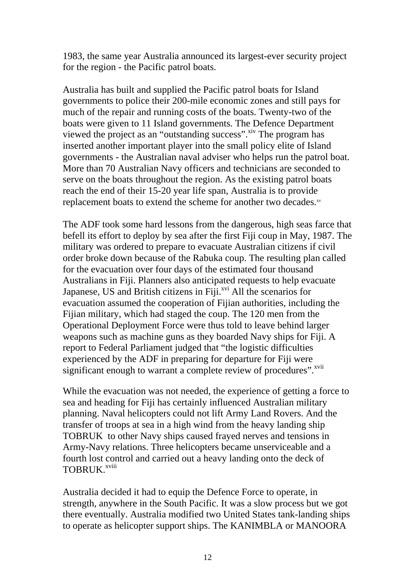1983, the same year Australia announced its largest-ever security project for the region - the Pacific patrol boats.

Australia has built and supplied the Pacific patrol boats for Island governments to police their 200-mile economic zones and still pays for much of the repair and running costs of the boats. Twenty-two of the boats were given to 11 Island governments. The Defence Department viewed the project as an "outstanding success".<sup>xiv</sup> The program has inserted another important player into the small policy elite of Island governments - the Australian naval adviser who helps run the patrol boat. More than 70 Australian Navy officers and technicians are seconded to serve on the boats throughout the region. As the existing patrol boats reach the end of their 15-20 year life span, Australia is to provide replacement boats to extend the scheme for another two decades.[xv](#page-21-9)

The ADF took some hard lessons from the dangerous, high seas farce that befell its effort to deploy by sea after the first Fiji coup in May, 1987. The military was ordered to prepare to evacuate Australian citizens if civil order broke down because of the Rabuka coup. The resulting plan called for the evacuation over four days of the estimated four thousand Australians in Fiji. Planners also anticipated requests to help evacuate Japanese, US and British citizens in  $\overline{Fiji}$ .<sup>xvi</sup> All the scenarios for evacuation assumed the cooperation of Fijian authorities, including the Fijian military, which had staged the coup. The 120 men from the Operational Deployment Force were thus told to leave behind larger weapons such as machine guns as they boarded Navy ships for Fiji. A report to Federal Parliament judged that "the logistic difficulties experienced by the ADF in preparing for departure for Fiji were significant enough to warrant a complete review of procedures".<sup>xvii</sup>

While the evacuation was not needed, the experience of getting a force to sea and heading for Fiji has certainly influenced Australian military planning. Naval helicopters could not lift Army Land Rovers. And the transfer of troops at sea in a high wind from the heavy landing ship TOBRUK to other Navy ships caused frayed nerves and tensions in Army-Navy relations. Three helicopters became unserviceable and a fourth lost control and carried out a heavy landing onto the deck of TOBRUK.<sup>xviii</sup>

Australia decided it had to equip the Defence Force to operate, in strength, anywhere in the South Pacific. It was a slow process but we got there eventually. Australia modified two United States tank-landing ships to operate as helicopter support ships. The KANIMBLA or MANOORA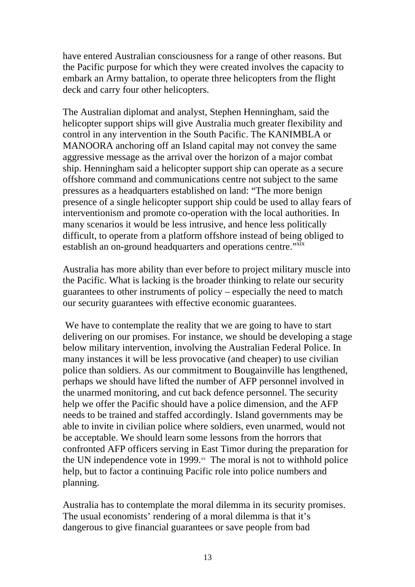have entered Australian consciousness for a range of other reasons. But the Pacific purpose for which they were created involves the capacity to embark an Army battalion, to operate three helicopters from the flight deck and carry four other helicopters.

The Australian diplomat and analyst, Stephen Henningham, said the helicopter support ships will give Australia much greater flexibility and control in any intervention in the South Pacific. The KANIMBLA or MANOORA anchoring off an Island capital may not convey the same aggressive message as the arrival over the horizon of a major combat ship. Henningham said a helicopter support ship can operate as a secure offshore command and communications centre not subject to the same pressures as a headquarters established on land: "The more benign presence of a single helicopter support ship could be used to allay fears of interventionism and promote co-operation with the local authorities. In many scenarios it would be less intrusive, and hence less politically difficult, to operate from a platform offshore instead of being obliged to establish an on-ground headquarters and operations centre."xix

Australia has more ability than ever before to project military muscle into the Pacific. What is lacking is the broader thinking to relate our security guarantees to other instruments of policy – especially the need to match our security guarantees with effective economic guarantees.

 We have to contemplate the reality that we are going to have to start delivering on our promises. For instance, we should be developing a stage below military intervention, involving the Australian Federal Police. In many instances it will be less provocative (and cheaper) to use civilian police than soldiers. As our commitment to Bougainville has lengthened, perhaps we should have lifted the number of AFP personnel involved in the unarmed monitoring, and cut back defence personnel. The security help we offer the Pacific should have a police dimension, and the AFP needs to be trained and staffed accordingly. Island governments may be able to invite in civilian police where soldiers, even unarmed, would not be acceptable. We should learn some lessons from the horrors that confronted AFP officers serving in East Timor during the preparation for the UN independence vote in 1999. $^{xx}$  The moral is not to withhold police help, but to factor a continuing Pacific role into police numbers and planning.

Australia has to contemplate the moral dilemma in its security promises. The usual economists' rendering of a moral dilemma is that it's dangerous to give financial guarantees or save people from bad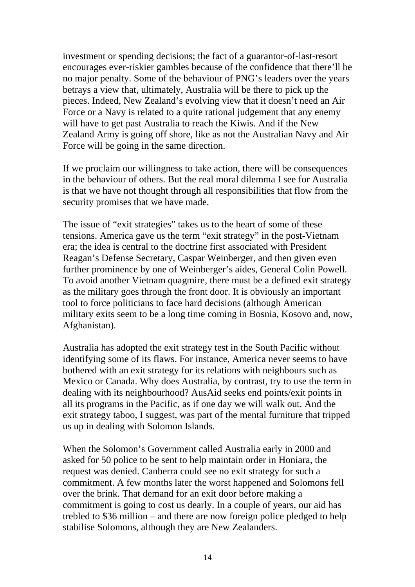investment or spending decisions; the fact of a guarantor-of-last-resort encourages ever-riskier gambles because of the confidence that there'll be no major penalty. Some of the behaviour of PNG's leaders over the years betrays a view that, ultimately, Australia will be there to pick up the pieces. Indeed, New Zealand's evolving view that it doesn't need an Air Force or a Navy is related to a quite rational judgement that any enemy will have to get past Australia to reach the Kiwis. And if the New Zealand Army is going off shore, like as not the Australian Navy and Air Force will be going in the same direction.

If we proclaim our willingness to take action, there will be consequences in the behaviour of others. But the real moral dilemma I see for Australia is that we have not thought through all responsibilities that flow from the security promises that we have made.

The issue of "exit strategies" takes us to the heart of some of these tensions. America gave us the term "exit strategy" in the post-Vietnam era; the idea is central to the doctrine first associated with President Reagan's Defense Secretary, Caspar Weinberger, and then given even further prominence by one of Weinberger's aides, General Colin Powell. To avoid another Vietnam quagmire, there must be a defined exit strategy as the military goes through the front door. It is obviously an important tool to force politicians to face hard decisions (although American military exits seem to be a long time coming in Bosnia, Kosovo and, now, Afghanistan).

Australia has adopted the exit strategy test in the South Pacific without identifying some of its flaws. For instance, America never seems to have bothered with an exit strategy for its relations with neighbours such as Mexico or Canada. Why does Australia, by contrast, try to use the term in dealing with its neighbourhood? AusAid seeks end points/exit points in all its programs in the Pacific, as if one day we will walk out. And the exit strategy taboo, I suggest, was part of the mental furniture that tripped us up in dealing with Solomon Islands.

When the Solomon's Government called Australia early in 2000 and asked for 50 police to be sent to help maintain order in Honiara, the request was denied. Canberra could see no exit strategy for such a commitment. A few months later the worst happened and Solomons fell over the brink. That demand for an exit door before making a commitment is going to cost us dearly. In a couple of years, our aid has trebled to \$36 million – and there are now foreign police pledged to help stabilise Solomons, although they are New Zealanders.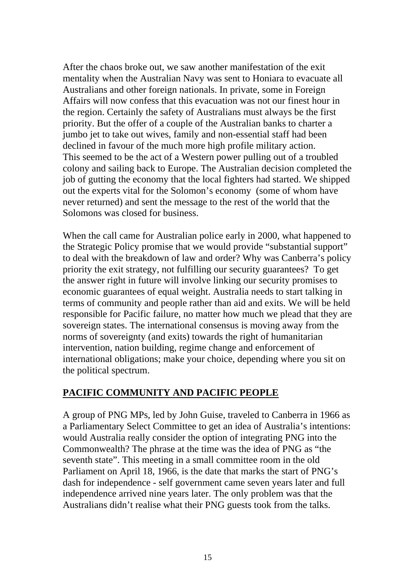After the chaos broke out, we saw another manifestation of the exit mentality when the Australian Navy was sent to Honiara to evacuate all Australians and other foreign nationals. In private, some in Foreign Affairs will now confess that this evacuation was not our finest hour in the region. Certainly the safety of Australians must always be the first priority. But the offer of a couple of the Australian banks to charter a jumbo jet to take out wives, family and non-essential staff had been declined in favour of the much more high profile military action. This seemed to be the act of a Western power pulling out of a troubled colony and sailing back to Europe. The Australian decision completed the job of gutting the economy that the local fighters had started. We shipped out the experts vital for the Solomon's economy (some of whom have never returned) and sent the message to the rest of the world that the Solomons was closed for business.

When the call came for Australian police early in 2000, what happened to the Strategic Policy promise that we would provide "substantial support" to deal with the breakdown of law and order? Why was Canberra's policy priority the exit strategy, not fulfilling our security guarantees? To get the answer right in future will involve linking our security promises to economic guarantees of equal weight. Australia needs to start talking in terms of community and people rather than aid and exits. We will be held responsible for Pacific failure, no matter how much we plead that they are sovereign states. The international consensus is moving away from the norms of sovereignty (and exits) towards the right of humanitarian intervention, nation building, regime change and enforcement of international obligations; make your choice, depending where you sit on the political spectrum.

### **PACIFIC COMMUNITY AND PACIFIC PEOPLE**

A group of PNG MPs, led by John Guise, traveled to Canberra in 1966 as a Parliamentary Select Committee to get an idea of Australia's intentions: would Australia really consider the option of integrating PNG into the Commonwealth? The phrase at the time was the idea of PNG as "the seventh state". This meeting in a small committee room in the old Parliament on April 18, 1966, is the date that marks the start of PNG's dash for independence - self government came seven years later and full independence arrived nine years later. The only problem was that the Australians didn't realise what their PNG guests took from the talks.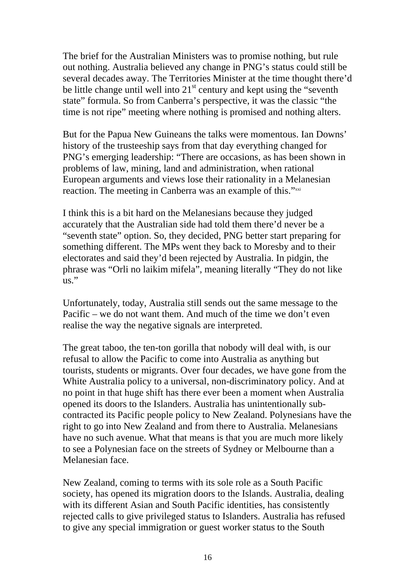The brief for the Australian Ministers was to promise nothing, but rule out nothing. Australia believed any change in PNG's status could still be several decades away. The Territories Minister at the time thought there'd be little change until well into  $21<sup>st</sup>$  century and kept using the "seventh" state" formula. So from Canberra's perspective, it was the classic "the time is not ripe" meeting where nothing is promised and nothing alters.

But for the Papua New Guineans the talks were momentous. Ian Downs' history of the trusteeship says from that day everything changed for PNG's emerging leadership: "There are occasions, as has been shown in problems of law, mining, land and administration, when rational European arguments and views lose their rationality in a Melanesian reaction. The meeting in Canberra was an example of this."[xxi](#page-21-7)

I think this is a bit hard on the Melanesians because they judged accurately that the Australian side had told them there'd never be a "seventh state" option. So, they decided, PNG better start preparing for something different. The MPs went they back to Moresby and to their electorates and said they'd been rejected by Australia. In pidgin, the phrase was "Orli no laikim mifela", meaning literally "They do not like us."

Unfortunately, today, Australia still sends out the same message to the Pacific – we do not want them. And much of the time we don't even realise the way the negative signals are interpreted.

The great taboo, the ten-ton gorilla that nobody will deal with, is our refusal to allow the Pacific to come into Australia as anything but tourists, students or migrants. Over four decades, we have gone from the White Australia policy to a universal, non-discriminatory policy. And at no point in that huge shift has there ever been a moment when Australia opened its doors to the Islanders. Australia has unintentionally subcontracted its Pacific people policy to New Zealand. Polynesians have the right to go into New Zealand and from there to Australia. Melanesians have no such avenue. What that means is that you are much more likely to see a Polynesian face on the streets of Sydney or Melbourne than a Melanesian face.

New Zealand, coming to terms with its sole role as a South Pacific society, has opened its migration doors to the Islands. Australia, dealing with its different Asian and South Pacific identities, has consistently rejected calls to give privileged status to Islanders. Australia has refused to give any special immigration or guest worker status to the South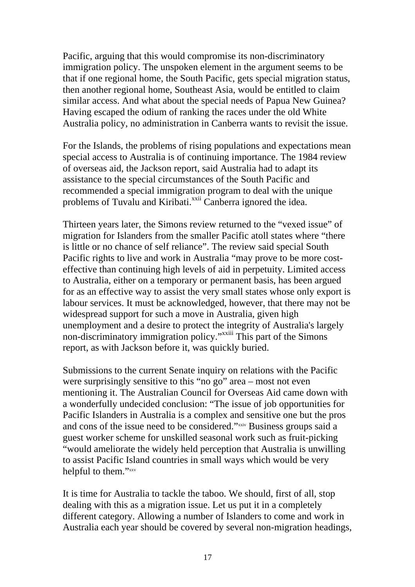Pacific, arguing that this would compromise its non-discriminatory immigration policy. The unspoken element in the argument seems to be that if one regional home, the South Pacific, gets special migration status, then another regional home, Southeast Asia, would be entitled to claim similar access. And what about the special needs of Papua New Guinea? Having escaped the odium of ranking the races under the old White Australia policy, no administration in Canberra wants to revisit the issue.

For the Islands, the problems of rising populations and expectations mean special access to Australia is of continuing importance. The 1984 review of overseas aid, the Jackson report, said Australia had to adapt its assistance to the special circumstances of the South Pacific and recommended a special immigration program to deal with the unique problems of Tuvalu and Kiribati.<sup>xxii</sup> Canberra ignored the idea.

Thirteen years later, the Simons review returned to the "vexed issue" of migration for Islanders from the smaller Pacific atoll states where "there is little or no chance of self reliance". The review said special South Pacific rights to live and work in Australia "may prove to be more costeffective than continuing high levels of aid in perpetuity. Limited access to Australia, either on a temporary or permanent basis, has been argued for as an effective way to assist the very small states whose only export is labour services. It must be acknowledged, however, that there may not be widespread support for such a move in Australia, given high unemployment and a desire to protect the integrity of Australia's largely non-discriminatory immigration policy."[xxiii T](#page-21-3)his part of the Simons report, as with Jackson before it, was quickly buried.

Submissions to the current Senate inquiry on relations with the Pacific were surprisingly sensitive to this "no go" area – most not even mentioning it. The Australian Council for Overseas Aid came down with a wonderfully undecided conclusion: "The issue of job opportunities for Pacific Islanders in Australia is a complex and sensitive one but the pros and cons of the issue need to be considered."[xxiv](#page-21-17) Business groups said a guest worker scheme for unskilled seasonal work such as fruit-picking "would ameliorate the widely held perception that Australia is unwilling to assist Pacific Island countries in small ways which would be very helpful to them."[xxv](#page-21-18)

It is time for Australia to tackle the taboo. We should, first of all, stop dealing with this as a migration issue. Let us put it in a completely different category. Allowing a number of Islanders to come and work in Australia each year should be covered by several non-migration headings,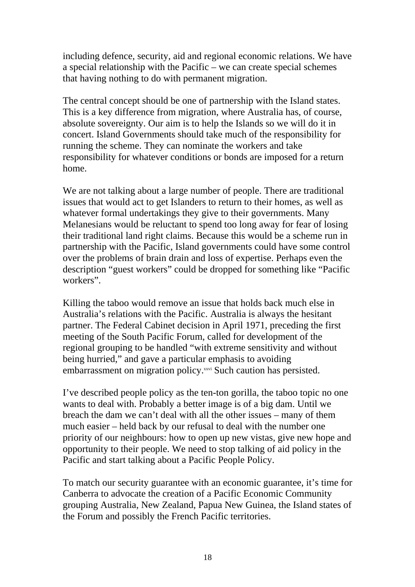including defence, security, aid and regional economic relations. We have a special relationship with the Pacific – we can create special schemes that having nothing to do with permanent migration.

The central concept should be one of partnership with the Island states. This is a key difference from migration, where Australia has, of course, absolute sovereignty. Our aim is to help the Islands so we will do it in concert. Island Governments should take much of the responsibility for running the scheme. They can nominate the workers and take responsibility for whatever conditions or bonds are imposed for a return home.

We are not talking about a large number of people. There are traditional issues that would act to get Islanders to return to their homes, as well as whatever formal undertakings they give to their governments. Many Melanesians would be reluctant to spend too long away for fear of losing their traditional land right claims. Because this would be a scheme run in partnership with the Pacific, Island governments could have some control over the problems of brain drain and loss of expertise. Perhaps even the description "guest workers" could be dropped for something like "Pacific workers".

Killing the taboo would remove an issue that holds back much else in Australia's relations with the Pacific. Australia is always the hesitant partner. The Federal Cabinet decision in April 1971, preceding the first meeting of the South Pacific Forum, called for development of the regional grouping to be handled "with extreme sensitivity and without being hurried," and gave a particular emphasis to avoiding embarrassment on migration policy.[xxvi](#page-21-13) Such caution has persisted.

I've described people policy as the ten-ton gorilla, the taboo topic no one wants to deal with. Probably a better image is of a big dam. Until we breach the dam we can't deal with all the other issues – many of them much easier – held back by our refusal to deal with the number one priority of our neighbours: how to open up new vistas, give new hope and opportunity to their people. We need to stop talking of aid policy in the Pacific and start talking about a Pacific People Policy.

To match our security guarantee with an economic guarantee, it's time for Canberra to advocate the creation of a Pacific Economic Community grouping Australia, New Zealand, Papua New Guinea, the Island states of the Forum and possibly the French Pacific territories.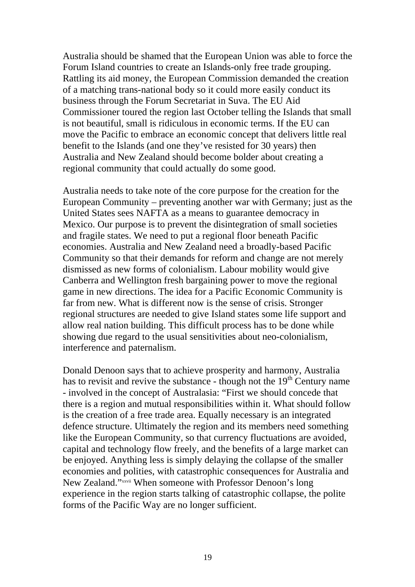Australia should be shamed that the European Union was able to force the Forum Island countries to create an Islands-only free trade grouping. Rattling its aid money, the European Commission demanded the creation of a matching trans-national body so it could more easily conduct its business through the Forum Secretariat in Suva. The EU Aid Commissioner toured the region last October telling the Islands that small is not beautiful, small is ridiculous in economic terms. If the EU can move the Pacific to embrace an economic concept that delivers little real benefit to the Islands (and one they've resisted for 30 years) then Australia and New Zealand should become bolder about creating a regional community that could actually do some good.

Australia needs to take note of the core purpose for the creation for the European Community – preventing another war with Germany; just as the United States sees NAFTA as a means to guarantee democracy in Mexico. Our purpose is to prevent the disintegration of small societies and fragile states. We need to put a regional floor beneath Pacific economies. Australia and New Zealand need a broadly-based Pacific Community so that their demands for reform and change are not merely dismissed as new forms of colonialism. Labour mobility would give Canberra and Wellington fresh bargaining power to move the regional game in new directions. The idea for a Pacific Economic Community is far from new. What is different now is the sense of crisis. Stronger regional structures are needed to give Island states some life support and allow real nation building. This difficult process has to be done while showing due regard to the usual sensitivities about neo-colonialism, interference and paternalism.

Donald Denoon says that to achieve prosperity and harmony, Australia has to revisit and revive the substance - though not the  $19<sup>th</sup>$  Century name - involved in the concept of Australasia: "First we should concede that there is a region and mutual responsibilities within it. What should follow is the creation of a free trade area. Equally necessary is an integrated defence structure. Ultimately the region and its members need something like the European Community, so that currency fluctuations are avoided, capital and technology flow freely, and the benefits of a large market can be enjoyed. Anything less is simply delaying the collapse of the smaller economies and polities, with catastrophic consequences for Australia and New Zealand."[xxvii](#page-21-18) When someone with Professor Denoon's long experience in the region starts talking of catastrophic collapse, the polite forms of the Pacific Way are no longer sufficient.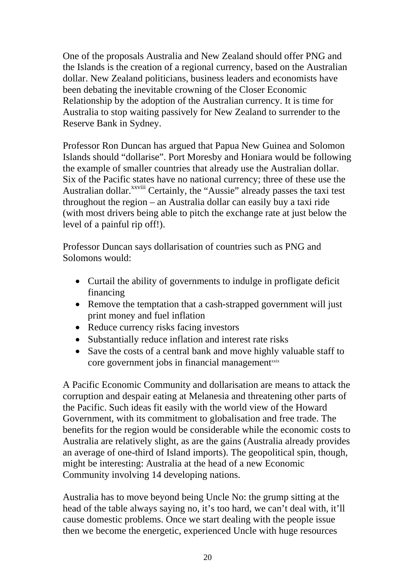One of the proposals Australia and New Zealand should offer PNG and the Islands is the creation of a regional currency, based on the Australian dollar. New Zealand politicians, business leaders and economists have been debating the inevitable crowning of the Closer Economic Relationship by the adoption of the Australian currency. It is time for Australia to stop waiting passively for New Zealand to surrender to the Reserve Bank in Sydney.

Professor Ron Duncan has argued that Papua New Guinea and Solomon Islands should "dollarise". Port Moresby and Honiara would be following the example of smaller countries that already use the Australian dollar. Six of the Pacific states have no national currency; three of these use the Australian dollar.<sup>xxviii</sup> Certainly, the "Aussie" already passes the taxi test throughout the region – an Australia dollar can easily buy a taxi ride (with most drivers being able to pitch the exchange rate at just below the level of a painful rip off!).

Professor Duncan says dollarisation of countries such as PNG and Solomons would:

- Curtail the ability of governments to indulge in profligate deficit financing
- Remove the temptation that a cash-strapped government will just print money and fuel inflation
- Reduce currency risks facing investors
- Substantially reduce inflation and interest rate risks
- Save the costs of a central bank and move highly valuable staff to core government jobs in financial management<sup>[xxix](#page-21-20)</sup>

A Pacific Economic Community and dollarisation are means to attack the corruption and despair eating at Melanesia and threatening other parts of the Pacific. Such ideas fit easily with the world view of the Howard Government, with its commitment to globalisation and free trade. The benefits for the region would be considerable while the economic costs to Australia are relatively slight, as are the gains (Australia already provides an average of one-third of Island imports). The geopolitical spin, though, might be interesting: Australia at the head of a new Economic Community involving 14 developing nations.

Australia has to move beyond being Uncle No: the grump sitting at the head of the table always saying no, it's too hard, we can't deal with, it'll cause domestic problems. Once we start dealing with the people issue then we become the energetic, experienced Uncle with huge resources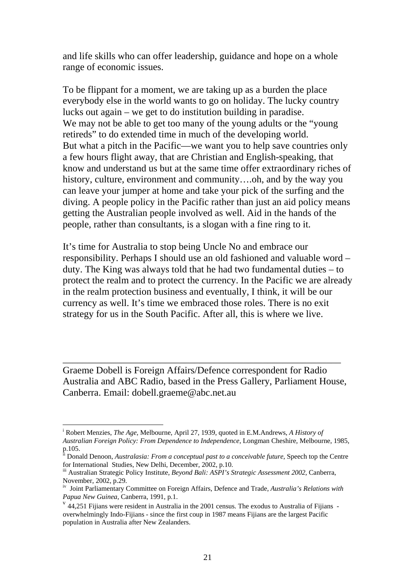and life skills who can offer leadership, guidance and hope on a whole range of economic issues.

To be flippant for a moment, we are taking up as a burden the place everybody else in the world wants to go on holiday. The lucky country lucks out again – we get to do institution building in paradise. We may not be able to get too many of the young adults or the "young retireds" to do extended time in much of the developing world. But what a pitch in the Pacific—we want you to help save countries only a few hours flight away, that are Christian and English-speaking, that know and understand us but at the same time offer extraordinary riches of history, culture, environment and community....oh, and by the way you can leave your jumper at home and take your pick of the surfing and the diving. A people policy in the Pacific rather than just an aid policy means getting the Australian people involved as well. Aid in the hands of the people, rather than consultants, is a slogan with a fine ring to it.

It's time for Australia to stop being Uncle No and embrace our responsibility. Perhaps I should use an old fashioned and valuable word – duty. The King was always told that he had two fundamental duties – to protect the realm and to protect the currency. In the Pacific we are already in the realm protection business and eventually, I think, it will be our currency as well. It's time we embraced those roles. There is no exit strategy for us in the South Pacific. After all, this is where we live.

Graeme Dobell is Foreign Affairs/Defence correspondent for Radio Australia and ABC Radio, based in the Press Gallery, Parliament House, Canberra. Email: dobell.graeme@abc.net.au

\_\_\_\_\_\_\_\_\_\_\_\_\_\_\_\_\_\_\_\_\_\_\_\_\_\_\_\_\_\_\_\_\_\_\_\_\_\_\_\_\_\_\_\_\_\_\_\_\_\_\_\_\_\_\_\_\_

 $\overline{a}$ 

i Robert Menzies, *The Age,* Melbourne, April 27, 1939, quoted in E.M.Andrews, *A History of Australian Foreign Policy: From Dependence to Independence*, Longman Cheshire, Melbourne, 1985, p.105.

ii Donald Denoon, *Australasia: From a conceptual past to a conceivable future*, Speech top the Centre for International Studies, New Delhi, December, 2002, p.10.

iii Australian Strategic Policy Institute, *Beyond Bali: ASPI's Strategic Assessment 2002*, Canberra, November, 2002, p.29.

<sup>&</sup>lt;sup>iv</sup> Joint Parliamentary Committee on Foreign Affairs, Defence and Trade, *Australia's Relations with Papua New Guinea*, Canberra, 1991, p.1.

<sup>&</sup>lt;sup>v</sup> 44,251 Fijians were resident in Australia in the 2001 census. The exodus to Australia of Fijians overwhelmingly Indo-Fijians - since the first coup in 1987 means Fijians are the largest Pacific population in Australia after New Zealanders.